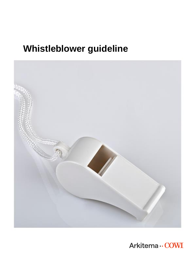# **Whistleblower guideline**



Arkitema ·· COWI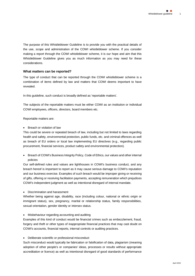The purpose of this Whistleblower Guideline is to provide you with the practical details of the use, scope and administration of the COWI whistleblower scheme. If you consider making a report through the COWI whistleblower scheme, it is our hope and aim that this Whistleblower Guideline gives you as much information as you may need for these considerations.

# **What matters can be reported?**

The type of conduct that can be reported through the COWI whistleblower scheme is a combination of items defined by law and matters that COWI deems important to have revealed.

In this guideline, such conduct is broadly defined as 'reportable matters'.

The subjects of the reportable matters must be either COWI as an institution or individual COWI employees, officers, directors, board members etc.

Reportable matters are:

• Breach or violation of law

This could be severe or repeated breach of law, including but not limited to laws regarding health and safety, environmental protection, public funds, etc. and criminal offences as well as breach of EU orders or local law implementing EU directives (e.g., regarding public procurement, financial services, product safety and environmental protection).

• Breach of COWI's Business Integrity Policy, Code of Ethics, our values and other internal policies

Our self-defined rules and values are lighthouses in COWI's business conduct, and any breach hereof is important to report as it may cause serious damage to COWI's reputation and our business exercise. Examples of such breach would be improper giving or receiving of gifts, offering or receiving facilitation payments, accepting remuneration which prejudices COWI's independent judgment as well as intentional disregard of internal mandate.

• Discrimination and harassment

Whether being against age, disability, race (including colour, national or ethnic origin or immigrant status), sex, pregnancy, marital or relationship status, family responsibilities, sexual orientation, gender identity or intersex status.

• Misbehaviour regarding accounting and auditing

Examples of this kind of conduct would be financial crimes such as embezzlement, fraud, forgery and theft or other types of inappropriate financial practices that may cast doubt on COWI's accounts, financial reports, internal controls or auditing practices.

• Deliberate scientific or professional misconduct

Such misconduct would typically be fabrication or falsification of data, plagiarism (meaning adoption of other people's or companies' ideas, processes or results without appropriate accreditation or licence) as well as intentional disregard of good standards of performance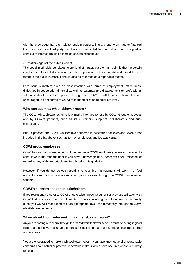with the knowledge that it is likely to result in personal injury, property damage or financial loss for COWI or a third party. Facilitation of unfair bidding procedures and disregard of conflicts of interest are also examples of such misconduct.

## • Matters against the public interest

This could in principle be related to any kind of matter, but the main point is that if a certain conduct is not included in any of the other reportable matters, but still is deemed to be a threat to the public interest, it should also be regarded as a reportable matter.

Less serious matters such as dissatisfaction with terms of employment, office rules, difficulties in cooperation (internal as well as external) and disagreement on professional solutions should not be reported through the COWI whistleblower scheme but are encouraged to be reported to COWI management at an appropriate level.

# **Who can submit a whistleblower report?**

The COWI whistleblower scheme is primarily intended for use by COWI Group employees and by COWI's partners, such as its customers, suppliers, collaborators and subconsultants.

But, in practice, the COWI whistleblower scheme is accessible for everyone, even if not included in the list above, such as former employees and job applicants.

# **COWI group employees**

COWI has an open management culture, and as a COWI employee you are encouraged to consult your line management if you have knowledge of or concerns about misconduct regarding any of the reportable matters listed in this guideline.

However, if you do not believe reporting to your line management will work – or feel uncomfortable doing so – you can report your concerns through the COWI whistleblower scheme.

# **COWI's partners and other stakeholders**

If you represent a partner to COWI or otherwise through a current or previous affiliation with COWI find or suspect a reportable matter, we also encourage you to inform us, preferably directly to COWI's management at an appropriate level, or alternatively through the COWI whistleblower scheme.

# **When should I consider making a whistleblower report?**

Anyone reporting a concern through the COWI whistleblower scheme must be acting in good faith and must have reasonable grounds for believing that the information reported is true and accurate.

You are encouraged to make a whistleblower report if you have knowledge of or reasonable concerns about actual or potential reportable matters which have occurred or are very likely to occur.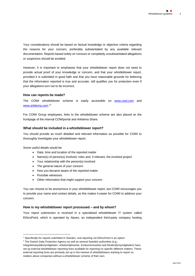Your considerations should be based on factual knowledge or objective criteria regarding the reasons for your concern, preferably substantiated by any available relevant documentation. Reports based solely on rumours or completely unsubstantiated allegations or suspicions should be avoided.

However, it is important to emphasise that your whistleblower report does not need to provide actual proof of your knowledge or concern, and that your whistleblower report, provided it is submitted in good faith and that you have reasonable grounds for believing that the information reported is true and accurate, still qualifies you for protection even if your allegations turn out to be incorrect.

### **How can reports be made?**

The COWI whistleblower scheme is easily accessible on [www.cowi.com](http://www.cowi.com/) and [www.arkitema.com.](http://www.arkitema.com/)<sup>12</sup>

For COWI Group employees, links to the whistleblower scheme are also placed on the frontpage of the internal COWIportal and Arkitema Share.

## **What should be included in a whistleblower report?**

You should provide as much detailed and relevant information as possible for COWI to thoroughly investigate your whistleblower report.

Some useful details would be:

- Date, time and location of the reported matter
- Name(s) of person(s) involved, roles and, if relevant, the involved project
- Your relationship with the person(s) involved
- The general nature of your concern
- How you became aware of the reported matter
- Possible witnesses
- Other information that might support your concern.

You can choose to be anonymous in your whistleblower report, but COWI encourages you to provide your name and contact details, as this makes it easier for COWI to address your concern.

#### **How is my whistleblower report processed – and by whom?**

Your report submission is received in a specialised whistleblower IT system called EthicsPoint, which is operated by Navex, an independent third-party company hosting

<sup>&</sup>lt;sup>1</sup> Specifically for reports submitted in Sweden, oral reporting via EthicsPoint is an option.

<sup>&</sup>lt;sup>2</sup> The Danish Data Protection Agency as well as several Swedish authorities (e.g.,

Integritetsskyddsmyndigheten, Arbetsmiljöverket, Konkurrensverket and Ekobrottsmyndigheten) have set up external whistleblower reporting lines available for reporting on specific different matters. These external reporting lines are primarily set up in the interest of whistleblowers wanting to report on matters about companies without a whistleblower scheme of their own.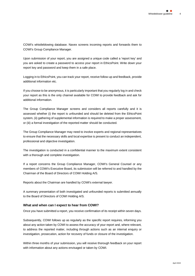COWI's whistleblowing database. Navex screens incoming reports and forwards them to COWI's Group Compliance Manager.

Upon submission of your report, you are assigned a unique code called a 'report key' and you are asked to create a password to access your report in EthicsPoint. Write down your report key and password and keep them in a safe place.

Logging in to EthicsPoint, you can track your report, receive follow-up and feedback, provide additional information etc.

If you choose to be anonymous, it is particularly important that you regularly log in and check your report as this is the only channel available for COWI to provide feedback and ask for additional information.

The Group Compliance Manager screens and considers all reports carefully and it is assessed whether (i) the report is unfounded and should be deleted from the EthicsPoint system, (ii) gathering of supplemental information is required to make a proper assessment, or (iii) a formal investigation of the reported matter should be conducted.

The Group Compliance Manager may need to involve experts and regional representatives to ensure that the necessary skills and local expertise is present to conduct an independent, professional and objective investigation.

The investigation is conducted in a confidential manner to the maximum extent consistent with a thorough and complete investigation.

If a report concerns the Group Compliance Manager, COWI's General Counsel or any members of COWI's Executive Board, its submission will be referred to and handled by the Chairman of the Board of Directors of COWI Holding A/S.

Reports about the Chairman are handled by COWI's external lawyer.

A summary presentation of both investigated and unfounded reports is submitted annually to the Board of Directors of COWI Holding A/S.

# **What and when can I expect to hear from COWI?**

Once you have submitted a report, you receive confirmation of its receipt within seven days.

Subsequently, COWI follows up as regularly as the specific report requires, informing you about any action taken by COWI to assess the accuracy of your report and, where relevant, to address the reported matter, including through actions such as an internal enquiry or investigation, prosecution, action for recovery of funds or closure of the investigation.

Within three months of your submission, you will receive thorough feedback on your report with information about any actions envisaged or taken by COWI.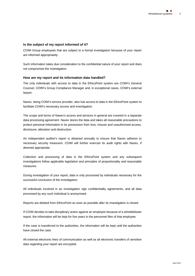# **Is the subject of my report informed of it?**

COWI Group employees that are subject to a formal investigation because of your report are informed appropriately.

Such information takes due consideration to the confidential nature of your report and does not compromise the investigation.

#### **How are my report and its information data handled?**

The only individuals with access to data in the EthicsPoint system are COWI's General Counsel, COWI's Group Compliance Manager and, in exceptional cases, COWI's external lawyer.

Navex, being COWI's service provider, also has access to data in the EthicsPoint system to facilitate COWI's necessary access and investigation.

The scope and terms of Navex's access and services in general are covered in a separate data processing agreement. Navex stores the data and takes all reasonable precautions to protect personal information in its possession from loss, misuse and unauthorised access, disclosure, alteration and destruction.

An independent auditor's report is obtained annually to ensure that Navex adheres to necessary security measures. COWI will further exercise its audit rights with Navex, if deemed appropriate.

Collection and processing of data in the EthicsPoint system and any subsequent investigations follow applicable legislation and principles of proportionality and reasonable measures.

During investigation of your report, data is only processed by individuals necessary for the successful conclusion of the investigation.

All individuals involved in an investigation sign confidentiality agreements, and all data processed by any such individual is anonymised.

Reports are deleted from EthicsPoint as soon as possible after its investigation is closed.

If COWI decides to take disciplinary action against an employee because of a whistleblower report, the information will be kept for five years in the personnel files of that employee.

If the case is transferred to the authorities, the information will be kept until the authorities have closed the case.

All external electronic lines of communication as well as all electronic transfers of sensitive data regarding your report are encrypted.